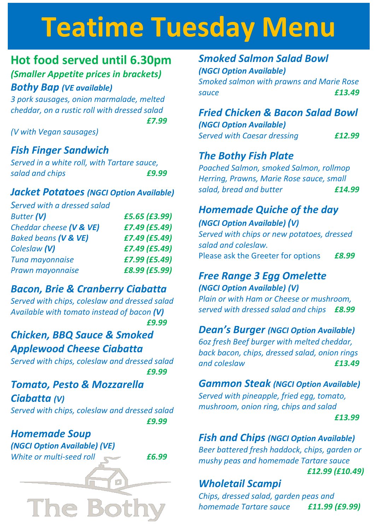# **Teatime Tuesday Menu**

### **Hot food served until 6.30pm** *(Smaller Appetite prices in brackets)*

#### *Bothy Bap (VE available)*

*3 pork sausages, onion marmalade, melted cheddar, on a rustic roll with dressed salad £7.99*

*(V with Vegan sausages)*

#### *Fish Finger Sandwich*

*Served in a white roll, with Tartare sauce, salad and chips £9.99*

#### *Jacket Potatoes (NGCI Option Available)*

*Served with a dressed salad Butter (V) £5.65 (£3.99) Cheddar cheese (V & VE) £7.49 (£5.49) Baked beans (V & VE) £7.49 (£5.49) Coleslaw (V) £7.49 (£5.49) Tuna mayonnaise £7.99 (£5.49)*

#### *Bacon, Brie & Cranberry Ciabatta*

*Prawn mayonnaise £8.99 (£5.99)*

*Served with chips, coleslaw and dressed salad Available with tomato instead of bacon (V) £9.99*

#### *Chicken, BBQ Sauce & Smoked Applewood Cheese Ciabatta*

*Served with chips, coleslaw and dressed salad £9.99*

# *Tomato, Pesto & Mozzarella*

*Ciabatta (V) Served with chips, coleslaw and dressed salad £9.99*

#### *Homemade Soup*

*(NGCI Option Available) (VE) White or multi-seed roll £6.99* 

**The Bo** 

#### *Smoked Salmon Salad Bowl (NGCI Option Available)*

*Smoked salmon with prawns and Marie Rose sauce £13.49*

#### *Fried Chicken & Bacon Salad Bowl*

*(NGCI Option Available)*

*Served with Caesar dressing £12.99*

#### *The Bothy Fish Plate*

*Poached Salmon, smoked Salmon, rollmop Herring, Prawns, Marie Rose sauce, small salad, bread and butter £14.99*

#### *Homemade Quiche of the day*

*(NGCI Option Available) (V) Served with chips or new potatoes, dressed salad and coleslaw.*  Please ask the Greeter for options *£8.99*

#### *Free Range 3 Egg Omelette (NGCI Option Available) (V)*

*Plain or with Ham or Cheese or mushroom, served with dressed salad and chips £8.99*

#### *Dean's Burger (NGCI Option Available)*

*6oz fresh Beef burger with melted cheddar, back bacon, chips, dressed salad, onion rings and coleslaw £13.49*

#### *Gammon Steak (NGCI Option Available)*

*Served with pineapple, fried egg, tomato, mushroom, onion ring, chips and salad*

*£13.99* 

#### *Fish and Chips (NGCI Option Available)*

*Beer battered fresh haddock, chips, garden or mushy peas and homemade Tartare sauce £12.99 (£10.49)*

#### *Wholetail Scampi*

*Chips, dressed salad, garden peas and homemade Tartare sauce £11.99 (£9.99)*